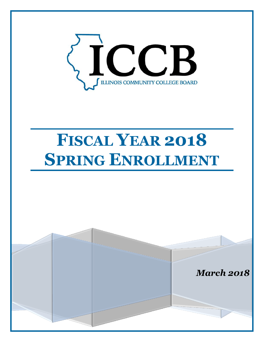

# **FISCAL YEAR 2018 SPRING ENROLLMENT**

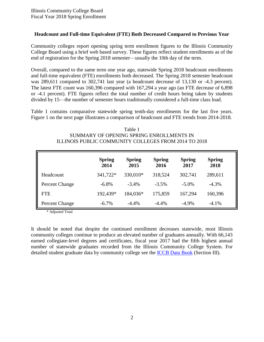## **Headcount and Full-time Equivalent (FTE) Both Decreased Compared to Previous Year**

Community colleges report opening spring term enrollment figures to the Illinois Community College Board using a brief web based survey. These figures reflect student enrollments as of the end of registration for the Spring 2018 semester—usually the 10th day of the term.

Overall, compared to the same term one year ago, statewide Spring 2018 headcount enrollments and full-time equivalent (FTE) enrollments both decreased. The Spring 2018 semester headcount was 289,611 compared to 302,741 last year (a headcount decrease of 13,130 or -4.3 percent). The latest FTE count was 160,396 compared with 167,294 a year ago (an FTE decrease of 6,898 or -4.1 percent). FTE figures reflect the total number of credit hours being taken by students divided by 15—the number of semester hours traditionally considered a full-time class load.

Table 1 contains comparative statewide spring tenth-day enrollments for the last five years. Figure 1 on the next page illustrates a comparison of headcount and FTE trends from 2014-2018.

| Table 1                                              |
|------------------------------------------------------|
| SUMMARY OF OPENING SPRING ENROLLMENTS IN             |
| ILLINOIS PUBLIC COMMUNITY COLLEGES FROM 2014 TO 2018 |

|                | <b>Spring</b><br>2014 | <b>Spring</b><br>2015 | <b>Spring</b><br>2016 | <b>Spring</b><br>2017 | <b>Spring</b><br>2018 |
|----------------|-----------------------|-----------------------|-----------------------|-----------------------|-----------------------|
| Headcount      | 341,722*              | 330,010*              | 318,524               | 302,741               | 289,611               |
| Percent Change | $-6.8%$               | $-3.4%$               | $-3.5%$               | $-5.0\%$              | $-4.3%$               |
| <b>FTE</b>     | 192,439*              | 184,036*              | 175,859               | 167,294               | 160,396               |
| Percent Change | $-6.7\%$              | $-4.4%$               | $-4.4%$               | $-4.9%$               | $-4.1%$               |

\* Adjusted Total

It should be noted that despite the continued enrollment decreases statewide, most Illinois community colleges continue to produce an elevated number of graduates annually. With 66,143 earned collegiate-level degrees and certificates, fiscal year 2017 had the fifth highest annual number of statewide graduates recorded from the Illinois Community College System. For detailed student graduate data by community college see the [ICCB Data Book](https://www.iccb.org/data/?page_id=10) (Section III).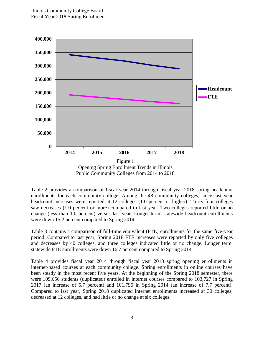

Public Community Colleges from 2014 to 2018

Table 2 provides a comparison of fiscal year 2014 through fiscal year 2018 spring headcount enrollments for each community college. Among the 48 community colleges, since last year headcount increases were reported at 12 colleges (1.0 percent or higher). Thirty-four colleges saw decreases (1.0 percent or more) compared to last year. Two colleges reported little or no change (less than 1.0 percent) versus last year. Longer-term, statewide headcount enrollments were down 15.2 percent compared to Spring 2014.

Table 3 contains a comparison of full-time equivalent (FTE) enrollments for the same five-year period. Compared to last year, Spring 2018 FTE increases were reported by only five colleges and decreases by 40 colleges, and three colleges indicated little or no change. Longer term, statewide FTE enrollments were down 16.7 percent compared to Spring 2014.

Table 4 provides fiscal year 2014 through fiscal year 2018 spring opening enrollments in internet-based courses at each community college. Spring enrollments in online courses have been steady in the most recent five years. At the beginning of the Spring 2018 semester, there were 109,656 students (duplicated) enrolled in internet courses compared to 103,727 in Spring 2017 (an increase of 5.7 percent) and 101,795 in Spring 2014 (an increase of 7.7 percent). Compared to last year, Spring 2018 duplicated internet enrollments increased at 30 colleges, decreased at 12 colleges, and had little or no change at six colleges.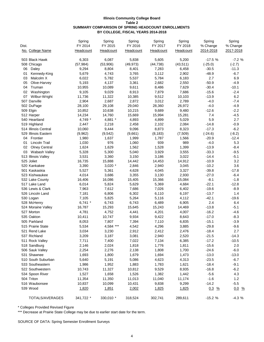#### **Illinois Community College Board Table 2 SUMMARY COMPARISON OF SPRING HEADCOUNT ENROLLMENTS BY COLLEGE, FISCAL YEARS 2014-2018**

| Dist.                      | Spring<br>FY 2014 | Spring<br>FY 2015 | Spring<br>FY 2016 | Spring<br>FY 2017 | Spring<br>FY 2018 | Spring<br>% Change | Spring<br>% Change |
|----------------------------|-------------------|-------------------|-------------------|-------------------|-------------------|--------------------|--------------------|
| No. College Name           | Headcount         | Headcount         | Headcount         | Headcount         | Headcount         | 2014-2018          | 2017-2018          |
| 503 Black Hawk             | 6,303             | 6,087             | 5,838             | 5,605             | 5,200             | $-17.5%$           | $-7.2%$            |
| 508 Chicago                | (57, 984)         | (53,906)          | (49, 973)         | (44, 738)         | (43, 511)         | $(-25.0)$          | $(-2.7)$           |
| 06<br>Daley                | 9,294             | 8,804             | 8,401             | 7,283             | 6,458             | $-30.5$            | $-11.3$            |
| 01<br>Kennedy-King         | 5,679             | 4,743             | 3,765             | 3,112             | 2,902             | $-48.9$            | $-6.7$             |
| Malcolm X<br>03            | 6,022             | 5,782             | 5,537             | 5,784             | 6,183             | 2.7                | 6.9                |
| 05<br>Olive-Harvey         | 5,193             | 4,137             | 3,361             | 2,682             | 2,550             | $-50.9$            | $-4.9$             |
| 04<br>Truman               | 10,955            | 10,089            | 9,611             | 8,486             | 7,629             | $-30.4$            | $-10.1$            |
| 02<br>Washington           | 9,105             | 9,029             | 8,913             | 7,879             | 7,686             | $-15.6$            | $-2.4$             |
| 07<br>Wilbur-Wright        | 11,736            | 11,322            | 10,385            | 9,512             | 10,103            | $-13.9$            | 6.2                |
| 507 Danville               | 2,904             | 2,687             | 2,872             | 3,012             | 2,789             | $-4.0$             | $-7.4$             |
| 502 DuPage                 | 28,100            | 29,108            | 29,040            | 28,360            | 26,972            | $-4.0$             | $-4.9$             |
| 509 Elgin                  | 10,852            | 10,638            | 10,215            | 9,689             | 9,480             | $-12.6$            | $-2.2$             |
| 512 Harper                 | 14,234            | 14,760            | 15,669            | 15,994            | 15,281            | 7.4                | $-4.5$             |
| 540 Heartland              | 4,749 *           | 4,881 *           | 4,893             | 4,899             | 5,029             | 5.9                | 2.7                |
| 519 Highland               | 2,447             | 2,218             | 2,458             | 2,102             | 2,084             | $-14.8$            | $-0.9$             |
| 514 Illinois Central       | 10,060            | 9,444             | 9,096             | 8,873             | 8,323             | $-17.3$            | $-6.2$             |
| 529 Illinois Eastern       | (9,962)           | (9, 542)          | (9,661)           | (8, 183)          | (7,509)           | $(-24.6)$          | $(-8.2)$           |
| 04<br>Frontier             | 1,980             | 1,637             | 1,999             | 1,787             | 1,566             | $-20.9$            | $-12.4$            |
| Lincoln Trail<br>01        | 1,030             | 976               | 1,060             | 939               | 989               | $-4.0$             | 5.3                |
| <b>Olney Central</b><br>02 | 1,624             | 1,629             | 1,562             | 1,528             | 1,399             | $-13.9$            | $-8.4$             |
| 03<br>Wabash Valley        | 5,328             | 5,300             | 5,040             | 3,929             | 3,555             | $-33.3$            | $-9.5$             |
| 513 Illinois Valley        | 3,531             | 3,360             | 3,150             | 3,186             | 3,022             | $-14.4$            | $-5.1$             |
| 525 Joliet                 | 16,735            | 15,888            | 14,442            | 14,453            | 14,912            | $-10.9$            | 3.2                |
| 520 Kankakee               | 3,390             | $3,020$ *         | 2,846             | 2,940             | 3,045             | $-10.2$            | 3.6                |
| 501 Kaskaskia              | 5,527             | 5,361             | 4,628             | 4,045             | 3,327             | $-39.8$            | $-17.8$            |
| 523 Kishwaukee             | 4,014             | 3,686             | 3,355             | 3,130             | 2,930             | $-27.0$            | $-6.4$             |
| 532 Lake County            | 16,406            | 16,086            | 15,405            | 15,366            | 15,084            | $-8.1$             | $-1.8$             |
| 517 Lake Land              | 6,014             | 5,824             | 5,629             | 5,369             | 4,684             | $-22.1$            | $-12.8$            |
| 536 Lewis & Clark          | 7,963             | 7,612             | 7,686             | 7,026             | 6,402             | $-19.6$            | $-8.9$             |
| 526 Lincoln Land           | 7,181             | 6,806             | 6,302             | 6,110             | 6,197             | $-13.7$            | 1.4                |
| 530 Logan                  | 7,105             | 5,825             | 5,264             | 5,116             | 4,112             | $-42.1$            | $-19.6$            |
| 528 McHenry                | $6,741$ *         | 6,743             | 6,743             | 6,489             | 6,905             | 2.4                | 6.4                |
| 524 Moraine Valley         | 16,787            | 15,293            | 15,645            | 15,243            | 14,469            | $-13.8$            | $-5.1$             |
| 527 Morton                 | 4,781             | 4,752             | 4,441             | 4,201             | 4,007             | $-16.2$            | $-4.6$             |
| 535 Oakton                 | 10,411            | 10,747            | 9,934             | 9,422             | 8,643             | $-17.0$            | $-8.3$             |
| 505 Parkland               | 8,053             | 7,807             | 7,394             | 7,110             | 6,835             | $-15.1$            | $-3.9$             |
| 515 Prairie State          | 5,534             | 4,584 ***         | 4,542             | 4,296             | 3,885             | $-29.8$            | $-9.6$             |
| 521 Rend Lake              | 3,034             | 3,230             | 2,912             | 2,412             | 2,476             | $-18.4$            | 2.7                |
| 537 Richland               | 3,209             | 3,187             | 3,081             | 2,940             | 2,520             | $-21.5$            | $-14.3$            |
| 511 Rock Valley            | 7,711             | 7,400             | 7,022             | 7,134             | 6,385             | $-17.2$            | $-10.5$            |
| 518 Sandburg               | 2,146             | 2,024             | 1,818             | 1,776             | 1,811             | $-15.6$            | 2.0                |
| 506 Sauk Valley            | 2,254             | 2,276             | 2,138             | 1,808             | 1,700             | $-24.6$            | $-6.0$             |
| 531 Shawnee                | 1,693             | 1,800             | 1,679             | 1,694             | 1,473             | $-13.0$            | $-13.0$            |
| 510 South Suburban         | 5,640             | 5,191             | 5,086             | 4,623             | 4,313             | $-23.5$            | $-6.7$             |
| 533 Southeastern           | 1,986             | 1,952             | 1,883             | 1,783             | 1,621             | $-18.4$            | $-9.1$             |
| 522 Southwestern           | 10,743            | 11,327            | 10,812            | 9,529             | 8,935             | $-16.8$            | $-6.2$             |
| 534 Spoon River            | 1,527             | 1,658             | 1,526             | 1,382             | 1,442             | $-5.6$             | 4.3                |
| 504 Triton                 | 11,354            | 11,350            | 11,013            | 11,040            | 11,174            | $-1.6$             | $1.2$              |
| 516 Waubonsee              | 10,837            | 10,099            | 10,431            | 9,838             | 9,299             | $-14.2$            | $-5.5$             |
| 539 Wood                   | 1,820             | 1,851             | 2,002             | 1,825             | 1,825             | $0.3 \frac{9}{6}$  | $0.0\frac{9}{6}$   |
| TOTALS/AVERAGES            | 341,722 *         | 330,010 *         | 318,524           | 302,741           | 289,611           | $-15.2%$           | $-4.3%$            |

\* Colleges Provided Revised Figure

\*\*\* Decrease at Prairie State College may be due to earlier start date for the term.

SOURCE OF DATA: Spring Semester Enrollment Surveys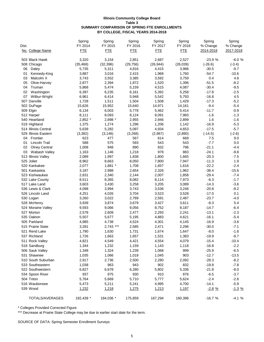#### **Illinois Community College Board Table 3 SUMMARY COMPARISON OF SPRING FTE ENROLLMENTS BY COLLEGE, FISCAL YEARS 2014-2018**

| Dist.<br>No. College Name  | Spring<br>FY 2014<br><b>FTE</b> | Spring<br>FY 2015<br><b>FTE</b> | Spring<br>FY 2016<br><b>FTE</b> | Spring<br>FY 2017<br><b>FTE</b> | Spring<br>FY 2018<br><b>FTE</b> | Spring<br>% Change<br>2014-2018 | Spring<br>% Change<br>2017-2018 |
|----------------------------|---------------------------------|---------------------------------|---------------------------------|---------------------------------|---------------------------------|---------------------------------|---------------------------------|
| 503 Black Hawk             | 3,320                           | 3,154                           | 2,851                           | 2,687                           | 2,527                           | $-23.9%$                        | $-6.0%$                         |
| 508 Chicago                | (35, 468)                       | (32, 396)                       | (29, 756)                       | (26, 944)                       | (26, 039)                       | $(-26.6)$                       | $(-3.4)$                        |
| 06<br>Daley                | 5,735                           | 5,311                           | 4,816                           | 4,415                           | 3,986                           | $-30.5$                         | $-9.7$                          |
| 01<br>Kennedy-King         | 3,887                           | 3,016                           | 2,415                           | 1,968                           | 1,760                           | $-54.7$                         | $-10.6$                         |
| Malcolm X<br>03            | 3,743                           | 3,552                           | 3,385                           | 3,592                           | 3,759                           | 0.4                             | 4.6                             |
| 05<br>Olive-Harvey         | 2,877                           | 2,394                           | 1,872                           | 1,520                           | 1,396                           | $-51.5$                         | $-8.2$                          |
| 04<br>Truman               | 5,868                           | 5,474                           | 5,159                           | 4,515                           | 4,087                           | $-30.4$                         | $-9.5$                          |
| Washington<br>02           | 6,397                           | 6,235                           | 6,161                           | 5,392                           | 5,258                           | $-17.8$                         | $-2.5$                          |
| 07<br>Wilbur-Wright        | 6,961                           | 6,414                           | 5,948                           | 5,542                           | 5,793                           | $-16.8$                         | 4.5                             |
| 507 Danville               | 1,728                           | 1,511                           | 1,504                           | 1,508                           | 1,429                           | $-17.3$                         | $-5.2$                          |
| 502 DuPage                 | 15,626                          | 15,952                          | 15,640                          | 14,971                          | 14,161                          | $-9.4$                          | $-5.4$                          |
| 509 Elgin                  | 6,134                           | 6,003                           | 5,778                           | 5,462                           | 5,414                           | $-11.7$                         | $-0.9$                          |
| 512 Harper                 | 8,111                           | 8,093                           | 8,124                           | 8,091                           | 7,983                           | $-1.6$                          | $-1.3$                          |
| 540 Heartland              | 2,852 *                         | 2,898 *                         | 2,955                           | 2,946                           | 2,899                           | 1.6                             | $-1.6$                          |
| 519 Highland               | 1,375                           | 1,274                           | 1,296                           | 1,206                           | 1,142                           | $-16.9$                         | $-5.3$                          |
| 514 Illinois Central       | 5,639                           | 5,282                           | 5,097                           | 4,934                           | 4,653                           | $-17.5$                         | $-5.7$                          |
| 529 Illinois Eastern       | (3,382)                         | (3, 146)                        | (3,268)                         | (2,967)                         | (2,890)                         | $(-14.5)$                       | $(-2.6)$                        |
| 04<br>Frontier             | 623                             | 477                             | 567                             | 614                             | 669                             | 7.5                             | 9.0                             |
| Lincoln Trail<br>01        | 588                             | 575                             | 593                             | 543                             | 543                             | $-7.7$                          | 0.0                             |
| 02<br><b>Olney Central</b> | 1,008                           | 948                             | 890                             | 832                             | 796                             | $-21.1$                         | $-4.4$                          |
| 03<br>Wabash Valley        | 1,163                           | 1,146                           | 1,218                           | 978                             | 883                             | $-24.1$                         | $-9.8$                          |
| 513 Illinois Valley        | 2,089                           | 1,997                           | 1,838                           | 1,800                           | 1,665                           | $-20.3$                         | $-7.5$                          |
| 525 Joliet                 | 8,962                           | 8,663                           | 8,050                           | 7,800                           | 7,947                           | $-11.3$                         | 1.9                             |
| 520 Kankakee               | 2,077                           | $1,881$ *                       | 1,708                           | 1,657                           | 1,616                           | $-22.2$                         | $-2.4$                          |
| 501 Kaskaskia              | 3,187                           | 2,988                           | 2,654                           | 2,326                           | 1,962                           | $-38.4$                         | $-15.6$                         |
| 523 Kishwaukee             | 2,631                           | 2,340                           | 2,144                           | 2,007                           | 1,858                           | $-29.4$                         | $-7.4$                          |
| 532 Lake County            | 8,511                           | 8,365                           | 8,082                           | 8,114                           | 7,973                           | $-6.3$                          | $-1.7$                          |
| 517 Lake Land              | 3,603                           | 3,430                           | 3,258                           | 3,205                           | 3,089                           | $-14.3$                         | $-3.6$                          |
| 536 Lewis & Clark          | 4,098                           | 3,994                           | 3,743                           | 3,536                           | 3,246                           | $-20.8$                         | $-8.2$                          |
| 526 Lincoln Land           | 4,251                           | 4,026                           | 3,704                           | 3,523                           | 3,528                           | $-17.0$                         | 0.1                             |
| 530 Logan                  | 3,260                           | 3,022                           | 2,789                           | 2,591                           | 2,487                           | $-23.7$                         | $-4.0$                          |
| 528 McHenry                | 3,939                           | 3,874                           | 3,679                           | 3,427                           | 3,611                           | $-8.3$                          | 5.4                             |
| 524 Moraine Valley         | 9,593                           | 9,066                           | 9,056                           | 8,752                           | 8,187                           | $-14.7$                         | $-6.4$                          |
| 527 Morton                 | 2,578                           | 2,609                           | 2,477                           | 2,293                           | 2,241                           | $-13.1$                         | $-2.3$                          |
| 535 Oakton                 | 5,507                           | 5,677                           | 5,195                           | 4,883                           | 4,621                           | $-16.1$                         | $-5.4$                          |
| 505 Parkland               | 4,985                           | 4,738                           | 4,524                           | 4,301                           | 4,145                           | $-16.9$                         | $-3.6$                          |
| 515 Prairie State          | 3,281                           | $2,743$ ***                     | 2,585                           | 2,471                           | 2,296                           | $-30.0$                         | $-7.1$                          |
| 521 Rend Lake              | 1,790                           | 1,630                           | 1,731                           | 1,674                           | 1,647                           | $-8.0$                          | $-1.6$                          |
| 537 Richland               | 1,726                           | 1,663                           | 1,657                           | 1,531                           | 1,383                           | $-19.9$                         | $-9.7$                          |
| 511 Rock Valley            | 4,821                           | 4,549                           | 4,421                           | 4,554                           | 4,079                           | $-15.4$                         | $-10.4$                         |
| 518 Sandburg               | 1,344                           | 1,232                           | 1,159                           | 1,143                           | 1,118                           | $-16.8$                         | $-2.2$                          |
| 506 Sauk Valley            | 1,348                           | 1,324                           | 1,239                           | 1,068                           | 999                             | $-25.9$                         | $-6.5$                          |
| 531 Shawnee                | 1,035                           | 1,066                           | 1,018                           | 1,045                           | 903                             | $-12.7$                         | $-13.5$                         |
| 510 South Suburban         | 2,917                           | 2,736                           | 2,500                           | 2,280                           | 2,092                           | $-28.3$                         | $-8.2$                          |
| 533 Southeastern           | 1,038                           | 963                             | 943                             | 902                             | 832                             | $-19.8$                         | $-7.8$                          |
| 522 Southwestern           | 6,827                           | 6,678                           | 6,280                           | 5,802                           | 5,336                           | $-21.8$                         | $-8.0$                          |
| 534 Spoon River            | 937                             | 975                             | 930                             | 910                             | 876                             | $-6.5$                          | $-3.7$                          |
| 504 Triton                 | 5,764                           | 5,669                           | 5,710                           | 5,777                           | 5,624                           | $-2.4$                          | $-2.6$                          |
| 516 Waubonsee              | 5,473                           | 5,211                           | 5,241                           | 4,995                           | 4,700                           | $-14.1$                         | $-5.9$                          |
| 539 Wood                   | 1,232                           | 1,218                           | 1,275                           | 1,213                           | 1,197                           | $-2.8%$                         |                                 |
|                            |                                 |                                 |                                 |                                 |                                 |                                 | <u>-1.3 %</u>                   |
| TOTALS/AVERAGES            | 192,439 *                       | 184,036 *                       | 175,859                         | 167,294                         | 160,396                         | $-16.7%$                        | $-4.1%$                         |

\* Colleges Provided Corrected Figure

\*\*\* Decrease at Prairie State College may be due to earlier start date for the term.

SOURCE OF DATA: Spring Semester Enrollment Surveys